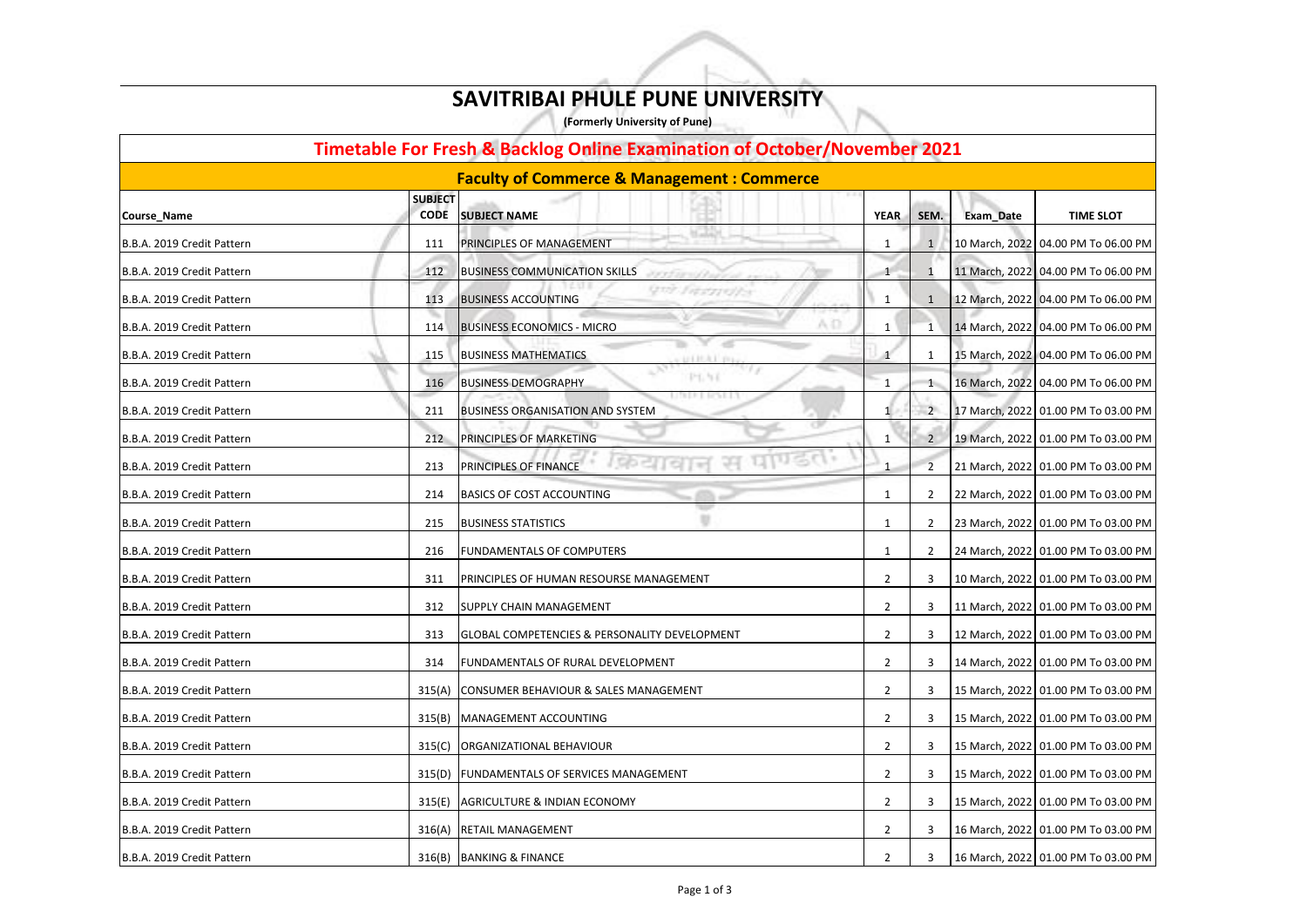| <b>Timetable For Fresh &amp; Backlog Online Examination of October/November 2021</b> |                               |                                                                |                |                |           |                                       |  |
|--------------------------------------------------------------------------------------|-------------------------------|----------------------------------------------------------------|----------------|----------------|-----------|---------------------------------------|--|
| <b>Faculty of Commerce &amp; Management: Commerce</b>                                |                               |                                                                |                |                |           |                                       |  |
| Course_Name                                                                          | <b>SUBJECT</b><br><b>CODE</b> | <b>SUBJECT NAME</b>                                            | <b>YEAR</b>    | SEM.           | Exam_Date | <b>TIME SLOT</b>                      |  |
| B.B.A. 2019 Credit Pattern                                                           | 111                           | PRINCIPLES OF MANAGEMENT                                       | 1              |                |           | 10 March, 2022 04.00 PM To 06.00 PM   |  |
| B.B.A. 2019 Credit Pattern                                                           | 112                           | <b>BUSINESS COMMUNICATION SKILLS</b>                           |                |                |           | 11 March, 2022 04.00 PM To 06.00 PM   |  |
| B.B.A. 2019 Credit Pattern                                                           | 113                           | Quy Tapitroffe<br><b>BUSINESS ACCOUNTING</b>                   | 1              |                |           | 12 March, 2022 04.00 PM To 06.00 PM   |  |
| B.B.A. 2019 Credit Pattern                                                           | 114                           | A.D.<br><b>BUSINESS ECONOMICS - MICRO</b>                      | $\mathbf{1}$   | 1              |           | 14 March, 2022   04.00 PM To 06.00 PM |  |
| B.B.A. 2019 Credit Pattern                                                           | 115                           | <b>BUSINESS MATHEMATICS</b>                                    |                |                |           | 15 March, 2022 04.00 PM To 06.00 PM   |  |
| B.B.A. 2019 Credit Pattern                                                           | 116                           | PT. 51<br><b>BUSINESS DEMOGRAPHY</b>                           |                |                |           | 16 March, 2022 04.00 PM To 06.00 PM   |  |
| B.B.A. 2019 Credit Pattern                                                           | 211                           | 18.2.7.1.0033.1.1.7<br><b>BUSINESS ORGANISATION AND SYSTEM</b> | $\mathbf{1}$   | $\overline{2}$ |           | 17 March, 2022   01.00 PM To 03.00 PM |  |
| B.B.A. 2019 Credit Pattern                                                           | 212                           | <b>PRINCIPLES OF MARKETING</b>                                 | 1              | $\overline{2}$ |           | 19 March, 2022 01.00 PM To 03.00 PM   |  |
| B.B.A. 2019 Credit Pattern                                                           | 213                           | upsc<br>PRINCIPLES OF FINANCE                                  |                |                |           | 21 March, 2022 01.00 PM To 03.00 PM   |  |
| B.B.A. 2019 Credit Pattern                                                           | 214                           | <b>BASICS OF COST ACCOUNTING</b>                               | -1             | 2              |           | 22 March, 2022 01.00 PM To 03.00 PM   |  |
| B.B.A. 2019 Credit Pattern                                                           | 215                           | <b>BUSINESS STATISTICS</b>                                     |                | 2              |           | 23 March, 2022 01.00 PM To 03.00 PM   |  |
| B.B.A. 2019 Credit Pattern                                                           | 216                           | <b>FUNDAMENTALS OF COMPUTERS</b>                               | 1              | 2              |           | 24 March, 2022 01.00 PM To 03.00 PM   |  |
| B.B.A. 2019 Credit Pattern                                                           | 311                           | PRINCIPLES OF HUMAN RESOURSE MANAGEMENT                        | 2              | 3              |           | 10 March, 2022 01.00 PM To 03.00 PM   |  |
| B.B.A. 2019 Credit Pattern                                                           | 312                           | <b>SUPPLY CHAIN MANAGEMENT</b>                                 | $\overline{2}$ | 3              |           | 11 March, 2022 01.00 PM To 03.00 PM   |  |
| B.B.A. 2019 Credit Pattern                                                           | 313                           | <b>GLOBAL COMPETENCIES &amp; PERSONALITY DEVELOPMENT</b>       | $\overline{2}$ | 3              |           | 12 March, 2022 01.00 PM To 03.00 PM   |  |
| B.B.A. 2019 Credit Pattern                                                           | 314                           | <b>FUNDAMENTALS OF RURAL DEVELOPMENT</b>                       | 2              | 3              |           | 14 March, 2022 01.00 PM To 03.00 PM   |  |
| B.B.A. 2019 Credit Pattern                                                           | 315(A)                        | CONSUMER BEHAVIOUR & SALES MANAGEMENT                          | 2              | 3              |           | 15 March, 2022 01.00 PM To 03.00 PM   |  |
| B.B.A. 2019 Credit Pattern                                                           | 315(B)                        | MANAGEMENT ACCOUNTING                                          | 2              | 3              |           | 15 March, 2022 01.00 PM To 03.00 PM   |  |
| B.B.A. 2019 Credit Pattern                                                           | 315(C)                        | <b>ORGANIZATIONAL BEHAVIOUR</b>                                | 2              | 3              |           | 15 March, 2022   01.00 PM To 03.00 PM |  |
| B.B.A. 2019 Credit Pattern                                                           | 315(D)                        | <b>FUNDAMENTALS OF SERVICES MANAGEMENT</b>                     | $\overline{2}$ | 3              |           | 15 March, 2022 01.00 PM To 03.00 PM   |  |
| B.B.A. 2019 Credit Pattern                                                           | 315(E)                        | AGRICULTURE & INDIAN ECONOMY                                   | $\overline{2}$ | 3              |           | 15 March, 2022 01.00 PM To 03.00 PM   |  |
| B.B.A. 2019 Credit Pattern                                                           | 316(A)                        | <b>RETAIL MANAGEMENT</b>                                       | 2              | 3              |           | 16 March, 2022  01.00 PM To 03.00 PM  |  |
| B.B.A. 2019 Credit Pattern                                                           |                               | 316(B) BANKING & FINANCE                                       | 2              | 3              |           | 16 March, 2022 01.00 PM To 03.00 PM   |  |

## **SAVITRIBAI PHULE PUNE UNIVERSITY**

**(Formerly University of Pune)**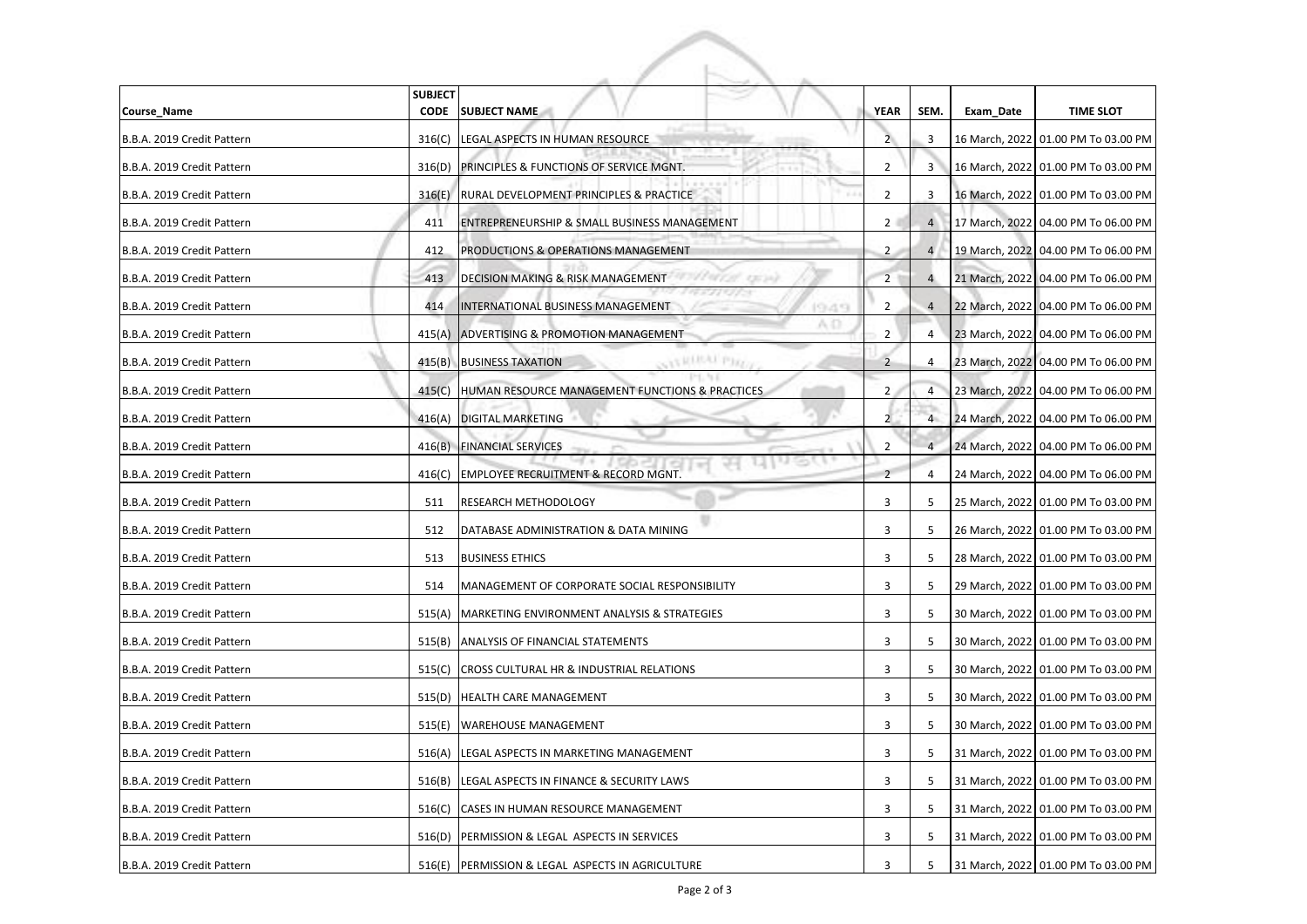| Course_Name                | <b>SUBJECT</b><br><b>CODE</b> | <b>SUBJECT NAME</b>                                             | <b>YEAR</b>    | SEM.                    | Exam_Date | <b>TIME SLOT</b>                    |
|----------------------------|-------------------------------|-----------------------------------------------------------------|----------------|-------------------------|-----------|-------------------------------------|
| B.B.A. 2019 Credit Pattern | 316(C)                        | LEGAL ASPECTS IN HUMAN RESOURCE                                 | 2              | $\overline{\mathbf{3}}$ |           | 16 March, 2022 01.00 PM To 03.00 PM |
| B.B.A. 2019 Credit Pattern | 316(D)                        | <b>PRINCIPLES &amp; FUNCTIONS OF SERVICE MGNT.</b>              | $\overline{2}$ | 3                       |           | 16 March, 2022 01.00 PM To 03.00 PM |
| B.B.A. 2019 Credit Pattern | 316(E)                        | RURAL DEVELOPMENT PRINCIPLES & PRACTICE                         | 2              | 3                       |           | 16 March, 2022 01.00 PM To 03.00 PM |
| B.B.A. 2019 Credit Pattern | 411                           | <b>ENTREPRENEURSHIP &amp; SMALL BUSINESS MANAGEMENT</b>         | 2 <sup>1</sup> | $\overline{4}$          |           | 17 March, 2022 04.00 PM To 06.00 PM |
| B.B.A. 2019 Credit Pattern | 412                           | PRODUCTIONS & OPERATIONS MANAGEMENT                             | $\overline{2}$ | $\overline{4}$          |           | 19 March, 2022 04.00 PM To 06.00 PM |
| B.B.A. 2019 Credit Pattern | 413                           | 45414728 13634)<br><b>DECISION MAKING &amp; RISK MANAGEMENT</b> | $\overline{2}$ | $\overline{4}$          |           | 21 March, 2022 04.00 PM To 06.00 PM |
| B.B.A. 2019 Credit Pattern | 414                           | INTERNATIONAL BUSINESS MANAGEMENT<br><b>IGLAS</b>               | $\overline{2}$ | $\overline{4}$          |           | 22 March, 2022 04.00 PM To 06.00 PM |
| B.B.A. 2019 Credit Pattern |                               | A O<br>415(A) ADVERTISING & PROMOTION MANAGEMENT                | $\overline{2}$ | 4                       |           | 23 March, 2022 04.00 PM To 06.00 PM |
| B.B.A. 2019 Credit Pattern |                               | <b>CARLELLA PIRA</b><br>415(B) BUSINESS TAXATION                |                | 4                       |           | 23 March, 2022 04.00 PM To 06.00 PM |
| B.B.A. 2019 Credit Pattern | 415(C)                        | HUMAN RESOURCE MANAGEMENT FUNCTIONS & PRACTICES                 | $\overline{2}$ | 4                       |           | 23 March, 2022 04.00 PM To 06.00 PM |
| B.B.A. 2019 Credit Pattern | 416(A)                        | <b>DIGITAL MARKETING</b>                                        | $\overline{2}$ | $\overline{4}$          |           | 24 March, 2022 04.00 PM To 06.00 PM |
| B.B.A. 2019 Credit Pattern | 416(B)                        | <b>FINANCIAL SERVICES</b>                                       | 2              |                         |           | 24 March, 2022 04.00 PM To 06.00 PM |
| B.B.A. 2019 Credit Pattern | 416(C)                        | <b>EMPLOYEE RECRUITMENT &amp; RECORD MGNT.</b>                  | $\overline{2}$ | 4                       |           | 24 March, 2022 04.00 PM To 06.00 PM |
| B.B.A. 2019 Credit Pattern | 511                           | <b>RESEARCH METHODOLOGY</b>                                     | 3              | 5                       |           | 25 March, 2022 01.00 PM To 03.00 PM |
| B.B.A. 2019 Credit Pattern |                               | 512   DATABASE ADMINISTRATION & DATA MINING                     | 3              |                         |           | 26 March, 2022 01.00 PM To 03.00 PM |
| B.B.A. 2019 Credit Pattern | 513                           | <b>BUSINESS ETHICS</b>                                          | 3              | 5                       |           | 28 March, 2022 01.00 PM To 03.00 PM |
| B.B.A. 2019 Credit Pattern | 514                           | MANAGEMENT OF CORPORATE SOCIAL RESPONSIBILITY                   | 3              | 5                       |           | 29 March, 2022 01.00 PM To 03.00 PM |
| B.B.A. 2019 Credit Pattern | 515(A)                        | MARKETING ENVIRONMENT ANALYSIS & STRATEGIES                     | 3              | 5                       |           | 30 March, 2022 01.00 PM To 03.00 PM |
| B.B.A. 2019 Credit Pattern | 515(B)                        | ANALYSIS OF FINANCIAL STATEMENTS                                | 3              | 5                       |           | 30 March, 2022 01.00 PM To 03.00 PM |
| B.B.A. 2019 Credit Pattern | 515(C)                        | <b>CROSS CULTURAL HR &amp; INDUSTRIAL RELATIONS</b>             | 3              | 5                       |           | 30 March, 2022 01.00 PM To 03.00 PM |
| B.B.A. 2019 Credit Pattern |                               | 515(D) HEALTH CARE MANAGEMENT                                   | 3              | 5                       |           | 30 March, 2022 01.00 PM To 03.00 PM |
| B.B.A. 2019 Credit Pattern | 515(E)                        | <b>WAREHOUSE MANAGEMENT</b>                                     | 3              | 5                       |           | 30 March, 2022 01.00 PM To 03.00 PM |
| B.B.A. 2019 Credit Pattern | 516(A)                        | LEGAL ASPECTS IN MARKETING MANAGEMENT                           | 3              | 5                       |           | 31 March, 2022 01.00 PM To 03.00 PM |
| B.B.A. 2019 Credit Pattern | 516(B)                        | LEGAL ASPECTS IN FINANCE & SECURITY LAWS                        | 3              | 5                       |           | 31 March, 2022 01.00 PM To 03.00 PM |
| B.B.A. 2019 Credit Pattern | 516(C)                        | CASES IN HUMAN RESOURCE MANAGEMENT                              | 3              | 5                       |           | 31 March, 2022 01.00 PM To 03.00 PM |
| B.B.A. 2019 Credit Pattern | 516(D)                        | PERMISSION & LEGAL ASPECTS IN SERVICES                          | 3              | 5                       |           | 31 March, 2022 01.00 PM To 03.00 PM |
| B.B.A. 2019 Credit Pattern | 516(E)                        | PERMISSION & LEGAL ASPECTS IN AGRICULTURE                       | 3              | 5                       |           | 31 March, 2022 01.00 PM To 03.00 PM |